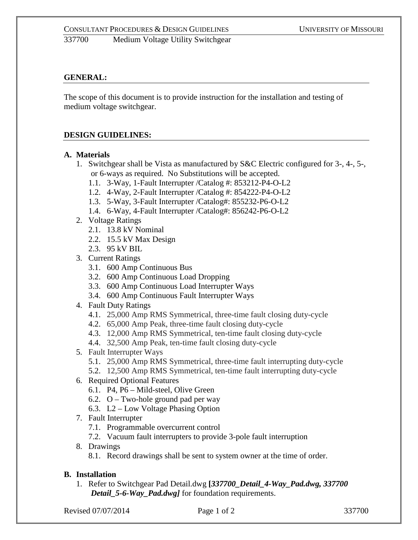# **GENERAL:**

The scope of this document is to provide instruction for the installation and testing of medium voltage switchgear.

# **DESIGN GUIDELINES:**

## **A. Materials**

- 1. Switchgear shall be Vista as manufactured by S&C Electric configured for 3-, 4-, 5-, or 6-ways as required. No Substitutions will be accepted.
	- 1.1. 3-Way, 1-Fault Interrupter /Catalog #: 853212-P4-O-L2
	- 1.2. 4-Way, 2-Fault Interrupter /Catalog #: 854222-P4-O-L2
	- 1.3. 5-Way, 3-Fault Interrupter /Catalog#: 855232-P6-O-L2
	- 1.4. 6-Way, 4-Fault Interrupter /Catalog#: 856242-P6-O-L2
- 2. Voltage Ratings
	- 2.1. 13.8 kV Nominal
	- 2.2. 15.5 kV Max Design
	- 2.3. 95 kV BIL
- 3. Current Ratings
	- 3.1. 600 Amp Continuous Bus
	- 3.2. 600 Amp Continuous Load Dropping
	- 3.3. 600 Amp Continuous Load Interrupter Ways
	- 3.4. 600 Amp Continuous Fault Interrupter Ways
- 4. Fault Duty Ratings
	- 4.1. 25,000 Amp RMS Symmetrical, three-time fault closing duty-cycle
	- 4.2. 65,000 Amp Peak, three-time fault closing duty-cycle
	- 4.3. 12,000 Amp RMS Symmetrical, ten-time fault closing duty-cycle
	- 4.4. 32,500 Amp Peak, ten-time fault closing duty-cycle
- 5. Fault Interrupter Ways
	- 5.1. 25,000 Amp RMS Symmetrical, three-time fault interrupting duty-cycle
	- 5.2. 12,500 Amp RMS Symmetrical, ten-time fault interrupting duty-cycle
- 6. Required Optional Features
	- 6.1. P4, P6 Mild-steel, Olive Green
	- 6.2.  $O Two-hole$  ground pad per way
	- 6.3. L2 Low Voltage Phasing Option
- 7. Fault Interrupter
	- 7.1. Programmable overcurrent control
	- 7.2. Vacuum fault interrupters to provide 3-pole fault interruption
- 8. Drawings
	- 8.1. Record drawings shall be sent to system owner at the time of order.

# **B. Installation**

1. Refer to Switchgear Pad Detail.dwg **[***337700\_Detail\_4-Way\_Pad.dwg, 337700 Detail\_5-6-Way\_Pad.dwg]* for foundation requirements.